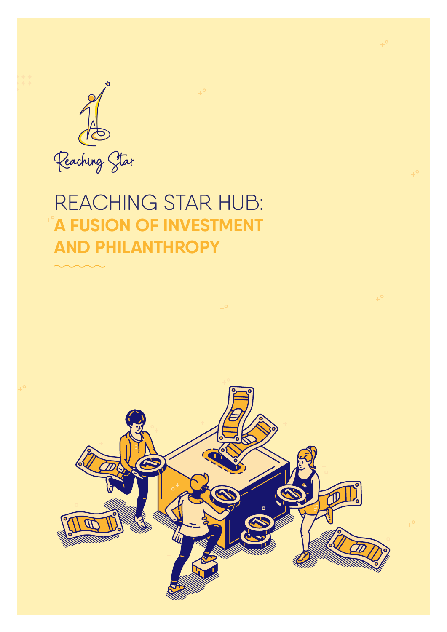

## REACHING STAR HUB: **A FUSION OF INVESTMENT AND PHILANTHROPY**

 $+^{\circ}$ 



 $+^{\circ}$ 

 $+^{\circ}$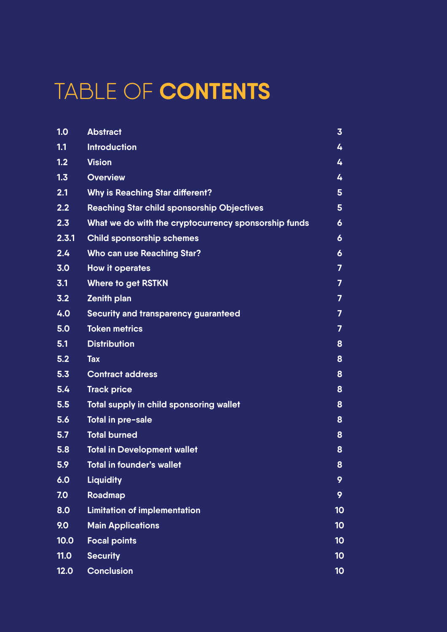# TABLE OF **CONTENTS**

| 1.0   | <b>Abstract</b>                                      | $\overline{3}$   |
|-------|------------------------------------------------------|------------------|
| 1.1   | <b>Introduction</b>                                  | 4                |
| 1.2   | <b>Vision</b>                                        | 4                |
| 1.3   | <b>Overview</b>                                      | 4                |
| 2.1   | <b>Why is Reaching Star different?</b>               | 5                |
| 2.2   | <b>Reaching Star child sponsorship Objectives</b>    | 5                |
| 2.3   | What we do with the cryptocurrency sponsorship funds | 6                |
| 2.3.1 | <b>Child sponsorship schemes</b>                     | 6                |
| 2.4   | <b>Who can use Reaching Star?</b>                    | $\boldsymbol{6}$ |
| 3.0   | <b>How it operates</b>                               | $\overline{7}$   |
| 3.1   | <b>Where to get RSTKN</b>                            | $\overline{7}$   |
| 3.2   | <b>Zenith plan</b>                                   | $\overline{7}$   |
| 4.0   | <b>Security and transparency guaranteed</b>          | $\overline{7}$   |
| 5.0   | <b>Token metrics</b>                                 | $\overline{7}$   |
| 5.1   | <b>Distribution</b>                                  | 8                |
| 5.2   | <b>Tax</b>                                           | 8                |
| 5.3   | <b>Contract address</b>                              | 8                |
| 5.4   | <b>Track price</b>                                   | 8                |
| 5.5   | <b>Total supply in child sponsoring wallet</b>       | 8                |
| 5.6   | Total in pre-sale                                    | 8                |
| 5.7   | <b>Total burned</b>                                  | 8                |
| 5.8   | <b>Total in Development wallet</b>                   | 8                |
| 5.9   | <b>Total in founder's wallet</b>                     | 8                |
| 6.0   | <b>Liquidity</b>                                     | 9                |
| 7.0   | Roadmap                                              | 9                |
| 8.0   | <b>Limitation of implementation</b>                  | 10               |
| 9.0   | <b>Main Applications</b>                             | 10               |
| 10.0  | <b>Focal points</b>                                  | 10               |
| 11.0  | <b>Security</b>                                      | 10               |
| 12.0  | <b>Conclusion</b>                                    | 10               |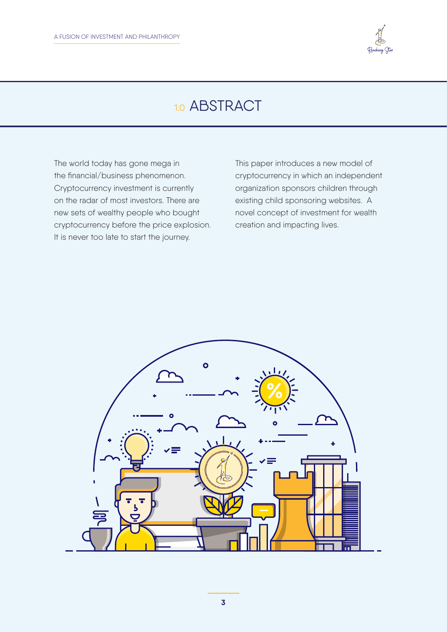

## 1.0 ABSTRACT

The world today has gone mega in the financial/business phenomenon. Cryptocurrency investment is currently on the radar of most investors. There are new sets of wealthy people who bought cryptocurrency before the price explosion. It is never too late to start the journey.

This paper introduces a new model of cryptocurrency in which an independent organization sponsors children through existing child sponsoring websites. A novel concept of investment for wealth creation and impacting lives.

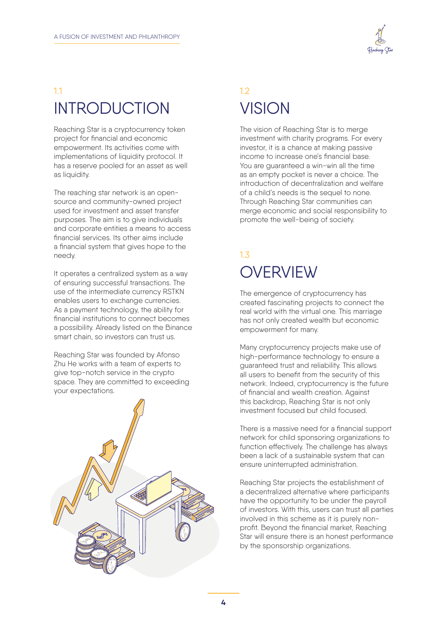

### 1.1 INTRODUCTION

Reaching Star is a cryptocurrency token project for financial and economic empowerment. Its activities come with implementations of liquidity protocol. It has a reserve pooled for an asset as well as liquidity.

The reaching star network is an opensource and community-owned project used for investment and asset transfer purposes. The aim is to give individuals and corporate entities a means to access financial services. Its other aims include a financial system that gives hope to the needy.

It operates a centralized system as a way of ensuring successful transactions. The use of the intermediate currency RSTKN enables users to exchange currencies. As a payment technology, the ability for financial institutions to connect becomes a possibility. Already listed on the Binance smart chain, so investors can trust us.

Reaching Star was founded by Afonso Zhu He works with a team of experts to give top-notch service in the crypto space. They are committed to exceeding your expectations.



### 1.2 **VISION**

The vision of Reaching Star is to merge investment with charity programs. For every investor, it is a chance at making passive income to increase one's financial base. You are guaranteed a win-win all the time as an empty pocket is never a choice. The introduction of decentralization and welfare of a child's needs is the sequel to none. Through Reaching Star communities can merge economic and social responsibility to promote the well-being of society.

### 1.3 **OVERVIEW**

The emergence of cryptocurrency has created fascinating projects to connect the real world with the virtual one. This marriage has not only created wealth but economic empowerment for many.

Many cryptocurrency projects make use of high-performance technology to ensure a guaranteed trust and reliability. This allows all users to benefit from the security of this network. Indeed, cryptocurrency is the future of financial and wealth creation. Against this backdrop, Reaching Star is not only investment focused but child focused.

There is a massive need for a financial support network for child sponsoring organizations to function effectively. The challenge has always been a lack of a sustainable system that can ensure uninterrupted administration.

Reaching Star projects the establishment of a decentralized alternative where participants have the opportunity to be under the payroll of investors. With this, users can trust all parties involved in this scheme as it is purely nonprofit. Beyond the financial market, Reaching Star will ensure there is an honest performance by the sponsorship organizations.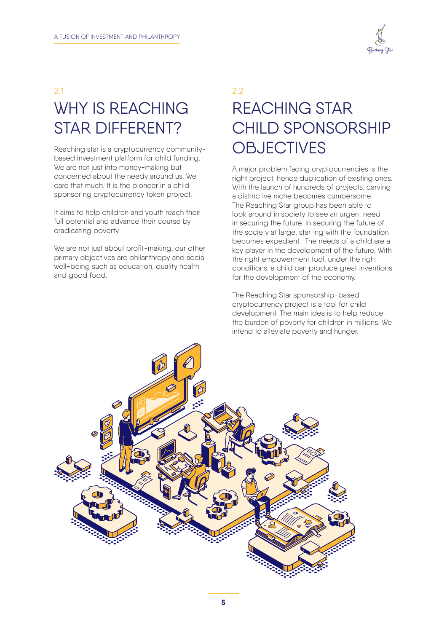

## 2.1 WHY IS REACHING STAR DIFFERENT?

Reaching star is a cryptocurrency communitybased investment platform for child funding. We are not just into money-making but concerned about the needy around us. We care that much. It is the pioneer in a child sponsoring cryptocurrency token project.

It aims to help children and youth reach their full potential and advance their course by eradicating poverty.

We are not just about profit-making, our other primary objectives are philanthropy and social well-being such as education, quality health and good food.

## 2.2 REACHING STAR CHILD SPONSORSHIP **OBJECTIVES**

A major problem facing cryptocurrencies is the right project, hence duplication of existing ones. With the launch of hundreds of projects, carving a distinctive niche becomes cumbersome. The Reaching Star group has been able to look around in society to see an urgent need in securing the future. In securing the future of the society at large, starting with the foundation becomes expedient. The needs of a child are a key player in the development of the future. With the right empowerment tool, under the right conditions, a child can produce great inventions for the development of the economy.

The Reaching Star sponsorship-based cryptocurrency project is a tool for child development. The main idea is to help reduce the burden of poverty for children in millions. We intend to alleviate poverty and hunger.

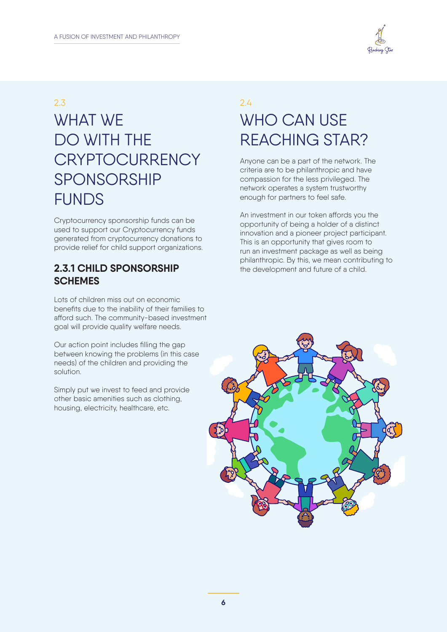

#### 2.3

## WHAT WE DO WITH THE **CRYPTOCURRENCY** SPONSORSHIP FUNDS

Cryptocurrency sponsorship funds can be used to support our Cryptocurrency funds generated from cryptocurrency donations to provide relief for child support organizations.

#### **2.3.1 CHILD SPONSORSHIP SCHEMES**

Lots of children miss out on economic benefits due to the inability of their families to afford such. The community-based investment goal will provide quality welfare needs.

Our action point includes filling the gap between knowing the problems (in this case needs) of the children and providing the solution.

Simply put we invest to feed and provide other basic amenities such as clothing, housing, electricity, healthcare, etc.

## 2.4 WHO CAN USE REACHING STAR?

Anyone can be a part of the network. The criteria are to be philanthropic and have compassion for the less privileged. The network operates a system trustworthy enough for partners to feel safe.

An investment in our token affords you the opportunity of being a holder of a distinct innovation and a pioneer project participant. This is an opportunity that gives room to run an investment package as well as being philanthropic. By this, we mean contributing to the development and future of a child.

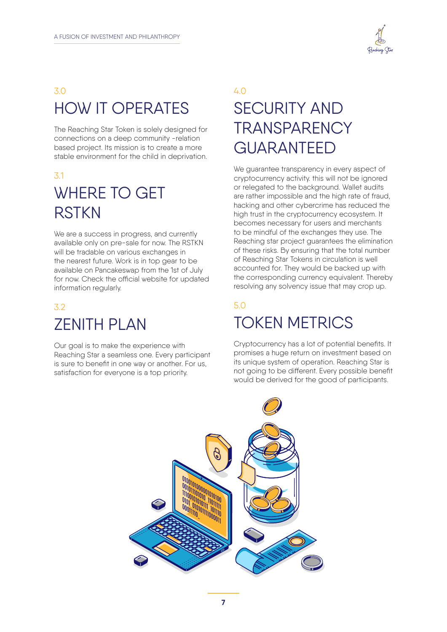

### 3.0 HOW IT OPERATES

The Reaching Star Token is solely designed for connections on a deep community -relation based project. Its mission is to create a more stable environment for the child in deprivation.

### 3.1 WHERE TO GET **RSTKN**

We are a success in progress, and currently available only on pre-sale for now. The RSTKN will be tradable on various exchanges in the nearest future. Work is in top gear to be available on Pancakeswap from the 1st of July for now. Check the official website for updated information regularly.

### 3.2 ZENITH PLAN

Our goal is to make the experience with Reaching Star a seamless one. Every participant is sure to benefit in one way or another. For us, satisfaction for everyone is a top priority.

## 4.0 SECURITY AND **TRANSPARENCY** GUARANTEED

We quarantee transparency in every aspect of cryptocurrency activity. this will not be ignored or relegated to the background. Wallet audits are rather impossible and the high rate of fraud, hacking and other cybercrime has reduced the high trust in the cryptocurrency ecosystem. It becomes necessary for users and merchants to be mindful of the exchanges they use. The Reaching star project guarantees the elimination of these risks. By ensuring that the total number of Reaching Star Tokens in circulation is well accounted for. They would be backed up with the corresponding currency equivalent. Thereby resolving any solvency issue that may crop up.

## 5.0 TOKEN METRICS

Cryptocurrency has a lot of potential benefits. It promises a huge return on investment based on its unique system of operation. Reaching Star is not going to be different. Every possible benefit would be derived for the good of participants.

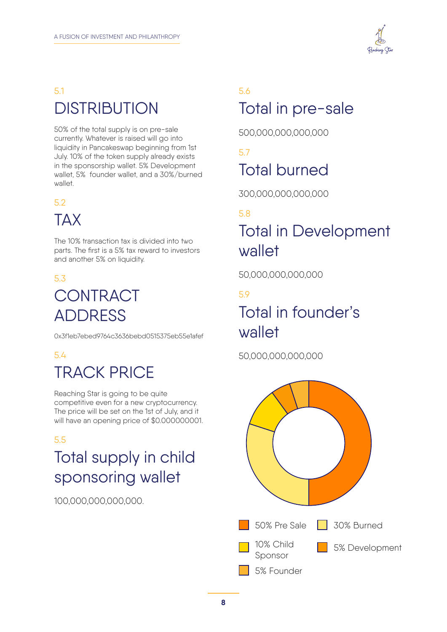

## 5.1 **DISTRIBUTION**

50% of the total supply is on pre-sale currently. Whatever is raised will go into liquidity in Pancakeswap beginning from 1st July. 10% of the token supply already exists in the sponsorship wallet. 5% Development wallet, 5% founder wallet, and a 30%/burned wallet.

#### 5.2

## TAX

The 10% transaction tax is divided into two parts. The first is a 5% tax reward to investors and another 5% on liquidity.

#### 5.3

## **CONTRACT** ADDRESS

0x3f1eb7ebed9764c3636bebd0515375eb55e1afef

## 5.4

## TRACK PRICE

Reaching Star is going to be quite competitive even for a new cryptocurrency. The price will be set on the 1st of July, and it will have an opening price of \$0.000000001.

#### 5.5

## Total supply in child sponsoring wallet

100,000,000,000,000.

## 5.6 Total in pre-sale

500,000,000,000,000

5.7 Total burned

300,000,000,000,000

#### 5.8

## Total in Development wallet

50,000,000,000,000

#### 5.9

## Total in founder's wallet

50,000,000,000,000

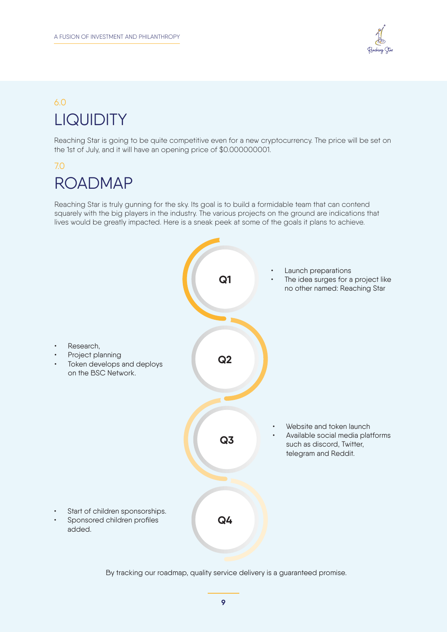

## 6.0 **LIQUIDITY**

Reaching Star is going to be quite competitive even for a new cryptocurrency. The price will be set on the 1st of July, and it will have an opening price of \$0.000000001.

#### 7.0

## ROADMAP

Reaching Star is truly gunning for the sky. Its goal is to build a formidable team that can contend squarely with the big players in the industry. The various projects on the ground are indications that lives would be greatly impacted. Here is a sneak peek at some of the goals it plans to achieve.



By tracking our roadmap, quality service delivery is a guaranteed promise.